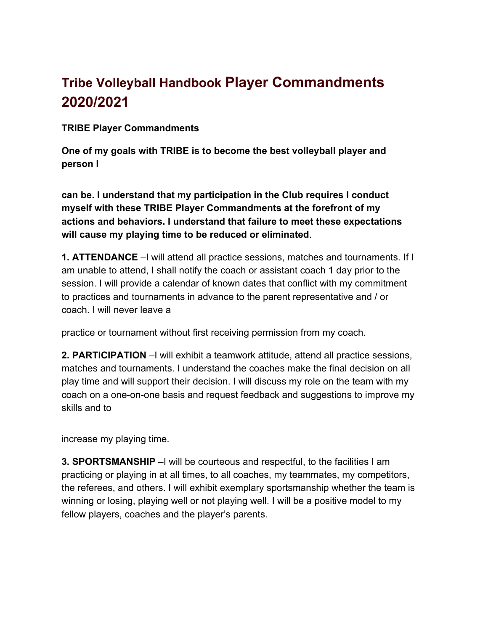# **Tribe Volleyball Handbook Player Commandments 2020/2021**

**TRIBE Player Commandments**

**One of my goals with TRIBE is to become the best volleyball player and person I**

**can be. I understand that my participation in the Club requires I conduct myself with these TRIBE Player Commandments at the forefront of my actions and behaviors. I understand that failure to meet these expectations will cause my playing time to be reduced or eliminated**.

**1. ATTENDANCE** –I will attend all practice sessions, matches and tournaments. If I am unable to attend, I shall notify the coach or assistant coach 1 day prior to the session. I will provide a calendar of known dates that conflict with my commitment to practices and tournaments in advance to the parent representative and / or coach. I will never leave a

practice or tournament without first receiving permission from my coach.

**2. PARTICIPATION** –I will exhibit a teamwork attitude, attend all practice sessions, matches and tournaments. I understand the coaches make the final decision on all play time and will support their decision. I will discuss my role on the team with my coach on a one-on-one basis and request feedback and suggestions to improve my skills and to

increase my playing time.

**3. SPORTSMANSHIP** –I will be courteous and respectful, to the facilities I am practicing or playing in at all times, to all coaches, my teammates, my competitors, the referees, and others. I will exhibit exemplary sportsmanship whether the team is winning or losing, playing well or not playing well. I will be a positive model to my fellow players, coaches and the player's parents.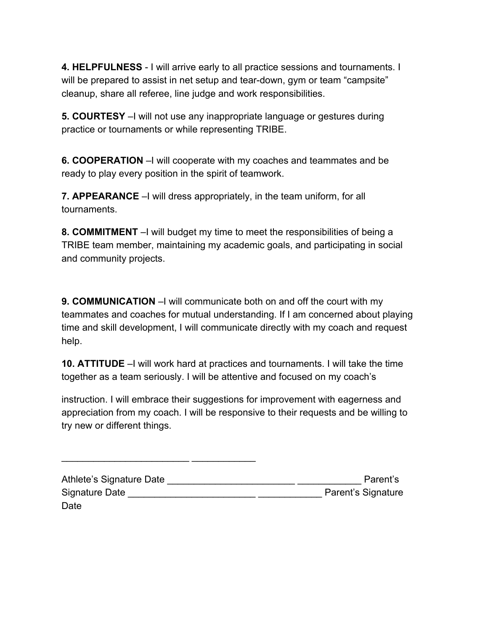**4. HELPFULNESS** - I will arrive early to all practice sessions and tournaments. I will be prepared to assist in net setup and tear-down, gym or team "campsite" cleanup, share all referee, line judge and work responsibilities.

**5. COURTESY** –I will not use any inappropriate language or gestures during practice or tournaments or while representing TRIBE.

**6. COOPERATION** –I will cooperate with my coaches and teammates and be ready to play every position in the spirit of teamwork.

**7. APPEARANCE** –I will dress appropriately, in the team uniform, for all tournaments.

**8. COMMITMENT** –I will budget my time to meet the responsibilities of being a TRIBE team member, maintaining my academic goals, and participating in social and community projects.

**9. COMMUNICATION** –I will communicate both on and off the court with my teammates and coaches for mutual understanding. If I am concerned about playing time and skill development, I will communicate directly with my coach and request help.

**10. ATTITUDE** –I will work hard at practices and tournaments. I will take the time together as a team seriously. I will be attentive and focused on my coach's

instruction. I will embrace their suggestions for improvement with eagerness and appreciation from my coach. I will be responsive to their requests and be willing to try new or different things.

| Athlete's Signature Date | Parent's           |
|--------------------------|--------------------|
| Signature Date           | Parent's Signature |
| Date                     |                    |

\_\_\_\_\_\_\_\_\_\_\_\_\_\_\_\_\_\_\_\_\_\_\_\_ \_\_\_\_\_\_\_\_\_\_\_\_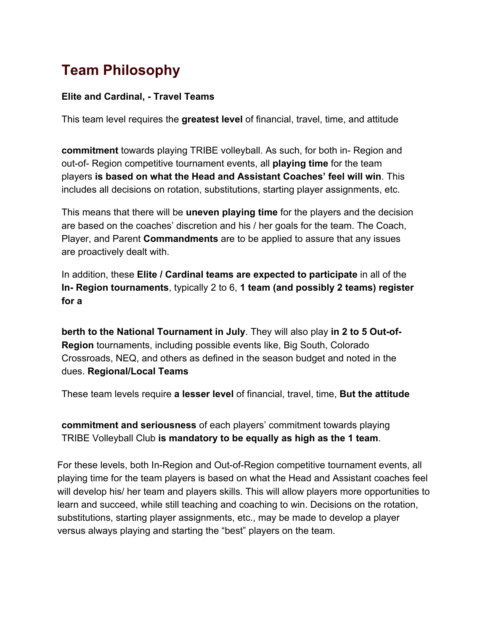# **Team Philosophy**

#### **Elite and Cardinal, - Travel Teams**

This team level requires the **greatest level** of financial, travel, time, and attitude

**commitment** towards playing TRIBE volleyball. As such, for both in- Region and out-of- Region competitive tournament events, all **playing time** for the team players **is based on what the Head and Assistant Coaches' feel will win**. This includes all decisions on rotation, substitutions, starting player assignments, etc.

This means that there will be **uneven playing time** for the players and the decision are based on the coaches' discretion and his / her goals for the team. The Coach, Player, and Parent **Commandments** are to be applied to assure that any issues are proactively dealt with.

In addition, these **Elite / Cardinal teams are expected to participate** in all of the **In- Region tournaments**, typically 2 to 6, **1 team (and possibly 2 teams) register for a**

**berth to the National Tournament in July**. They will also play **in 2 to 5 Out-of-Region** tournaments, including possible events like, Big South, Colorado Crossroads, NEQ, and others as defined in the season budget and noted in the dues. **Regional/Local Teams**

These team levels require **a lesser level** of financial, travel, time, **But the attitude**

**commitment and seriousness** of each players' commitment towards playing TRIBE Volleyball Club **is mandatory to be equally as high as the 1 team**.

For these levels, both In-Region and Out-of-Region competitive tournament events, all playing time for the team players is based on what the Head and Assistant coaches feel will develop his/ her team and players skills. This will allow players more opportunities to learn and succeed, while still teaching and coaching to win. Decisions on the rotation, substitutions, starting player assignments, etc., may be made to develop a player versus always playing and starting the "best" players on the team.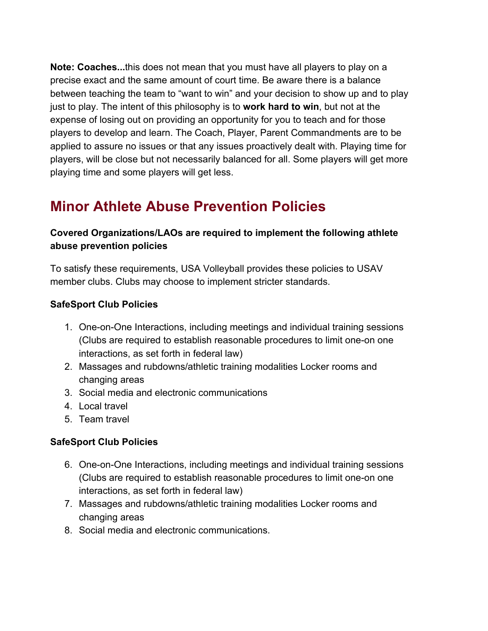**Note: Coaches...**this does not mean that you must have all players to play on a precise exact and the same amount of court time. Be aware there is a balance between teaching the team to "want to win" and your decision to show up and to play just to play. The intent of this philosophy is to **work hard to win**, but not at the expense of losing out on providing an opportunity for you to teach and for those players to develop and learn. The Coach, Player, Parent Commandments are to be applied to assure no issues or that any issues proactively dealt with. Playing time for players, will be close but not necessarily balanced for all. Some players will get more playing time and some players will get less.

# **Minor Athlete Abuse Prevention Policies**

## **Covered Organizations/LAOs are required to implement the following athlete abuse prevention policies**

To satisfy these requirements, USA Volleyball provides these policies to USAV member clubs. Clubs may choose to implement stricter standards.

#### **SafeSport Club Policies**

- 1. One-on-One Interactions, including meetings and individual training sessions (Clubs are required to establish reasonable procedures to limit one-on one interactions, as set forth in federal law)
- 2. Massages and rubdowns/athletic training modalities Locker rooms and changing areas
- 3. Social media and electronic communications
- 4. Local travel
- 5. Team travel

## **SafeSport Club Policies**

- 6. One-on-One Interactions, including meetings and individual training sessions (Clubs are required to establish reasonable procedures to limit one-on one interactions, as set forth in federal law)
- 7. Massages and rubdowns/athletic training modalities Locker rooms and changing areas
- 8. Social media and electronic communications.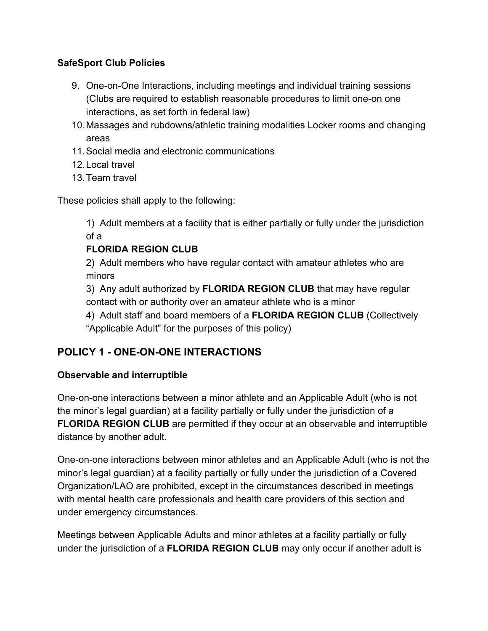#### **SafeSport Club Policies**

- 9. One-on-One Interactions, including meetings and individual training sessions (Clubs are required to establish reasonable procedures to limit one-on one interactions, as set forth in federal law)
- 10.Massages and rubdowns/athletic training modalities Locker rooms and changing areas
- 11.Social media and electronic communications
- 12.Local travel
- 13.Team travel

These policies shall apply to the following:

1) Adult members at a facility that is either partially or fully under the jurisdiction of a

# **FLORIDA REGION CLUB**

2) Adult members who have regular contact with amateur athletes who are minors

3) Any adult authorized by **FLORIDA REGION CLUB** that may have regular contact with or authority over an amateur athlete who is a minor

4) Adult staff and board members of a **FLORIDA REGION CLUB** (Collectively

"Applicable Adult" for the purposes of this policy)

# **POLICY 1 - ONE-ON-ONE INTERACTIONS**

## **Observable and interruptible**

One-on-one interactions between a minor athlete and an Applicable Adult (who is not the minor's legal guardian) at a facility partially or fully under the jurisdiction of a **FLORIDA REGION CLUB** are permitted if they occur at an observable and interruptible distance by another adult.

One-on-one interactions between minor athletes and an Applicable Adult (who is not the minor's legal guardian) at a facility partially or fully under the jurisdiction of a Covered Organization/LAO are prohibited, except in the circumstances described in meetings with mental health care professionals and health care providers of this section and under emergency circumstances.

Meetings between Applicable Adults and minor athletes at a facility partially or fully under the jurisdiction of a **FLORIDA REGION CLUB** may only occur if another adult is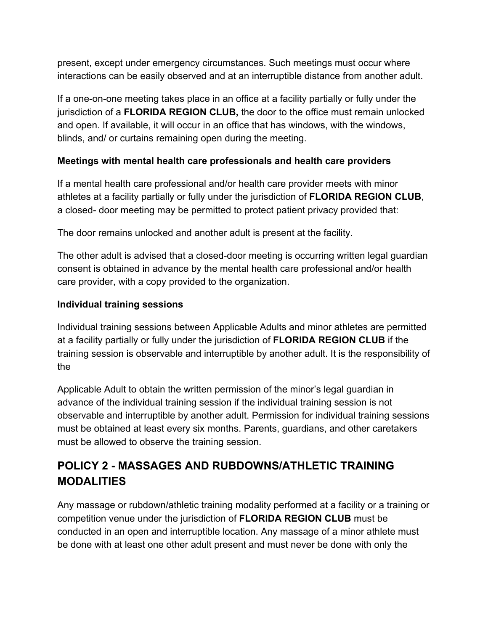present, except under emergency circumstances. Such meetings must occur where interactions can be easily observed and at an interruptible distance from another adult.

If a one-on-one meeting takes place in an office at a facility partially or fully under the jurisdiction of a **FLORIDA REGION CLUB,** the door to the office must remain unlocked and open. If available, it will occur in an office that has windows, with the windows, blinds, and/ or curtains remaining open during the meeting.

#### **Meetings with mental health care professionals and health care providers**

If a mental health care professional and/or health care provider meets with minor athletes at a facility partially or fully under the jurisdiction of **FLORIDA REGION CLUB**, a closed- door meeting may be permitted to protect patient privacy provided that:

The door remains unlocked and another adult is present at the facility.

The other adult is advised that a closed-door meeting is occurring written legal guardian consent is obtained in advance by the mental health care professional and/or health care provider, with a copy provided to the organization.

#### **Individual training sessions**

Individual training sessions between Applicable Adults and minor athletes are permitted at a facility partially or fully under the jurisdiction of **FLORIDA REGION CLUB** if the training session is observable and interruptible by another adult. It is the responsibility of the

Applicable Adult to obtain the written permission of the minor's legal guardian in advance of the individual training session if the individual training session is not observable and interruptible by another adult. Permission for individual training sessions must be obtained at least every six months. Parents, guardians, and other caretakers must be allowed to observe the training session.

# **POLICY 2 - MASSAGES AND RUBDOWNS/ATHLETIC TRAINING MODALITIES**

Any massage or rubdown/athletic training modality performed at a facility or a training or competition venue under the jurisdiction of **FLORIDA REGION CLUB** must be conducted in an open and interruptible location. Any massage of a minor athlete must be done with at least one other adult present and must never be done with only the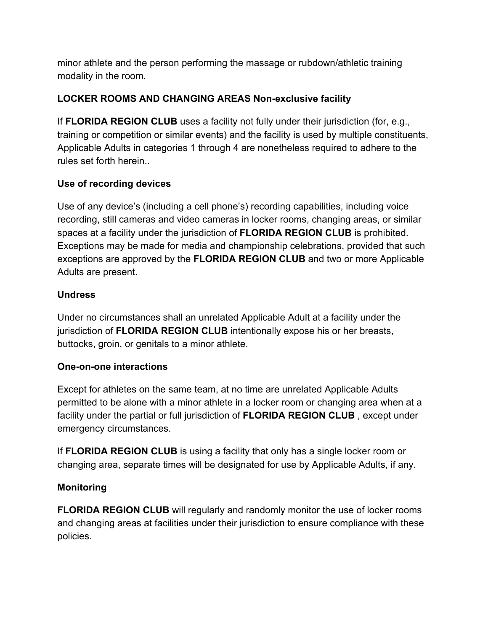minor athlete and the person performing the massage or rubdown/athletic training modality in the room.

# **LOCKER ROOMS AND CHANGING AREAS Non-exclusive facility**

If **FLORIDA REGION CLUB** uses a facility not fully under their jurisdiction (for, e.g., training or competition or similar events) and the facility is used by multiple constituents, Applicable Adults in categories 1 through 4 are nonetheless required to adhere to the rules set forth herein..

## **Use of recording devices**

Use of any device's (including a cell phone's) recording capabilities, including voice recording, still cameras and video cameras in locker rooms, changing areas, or similar spaces at a facility under the jurisdiction of **FLORIDA REGION CLUB** is prohibited. Exceptions may be made for media and championship celebrations, provided that such exceptions are approved by the **FLORIDA REGION CLUB** and two or more Applicable Adults are present.

# **Undress**

Under no circumstances shall an unrelated Applicable Adult at a facility under the jurisdiction of **FLORIDA REGION CLUB** intentionally expose his or her breasts, buttocks, groin, or genitals to a minor athlete.

# **One-on-one interactions**

Except for athletes on the same team, at no time are unrelated Applicable Adults permitted to be alone with a minor athlete in a locker room or changing area when at a facility under the partial or full jurisdiction of **FLORIDA REGION CLUB** , except under emergency circumstances.

If **FLORIDA REGION CLUB** is using a facility that only has a single locker room or changing area, separate times will be designated for use by Applicable Adults, if any.

## **Monitoring**

**FLORIDA REGION CLUB** will regularly and randomly monitor the use of locker rooms and changing areas at facilities under their jurisdiction to ensure compliance with these policies.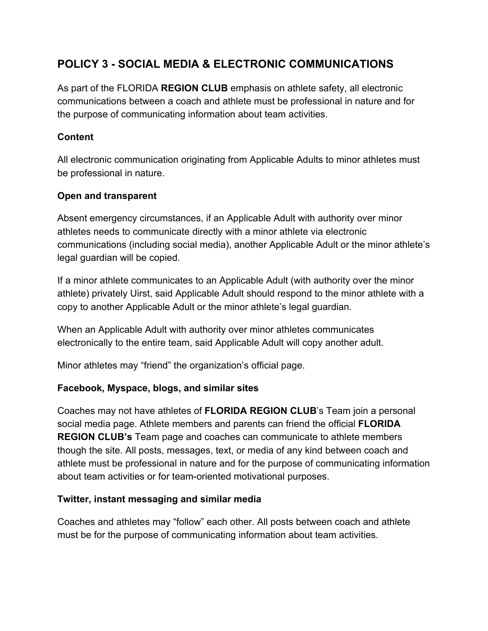# **POLICY 3 - SOCIAL MEDIA & ELECTRONIC COMMUNICATIONS**

As part of the FLORIDA **REGION CLUB** emphasis on athlete safety, all electronic communications between a coach and athlete must be professional in nature and for the purpose of communicating information about team activities.

#### **Content**

All electronic communication originating from Applicable Adults to minor athletes must be professional in nature.

#### **Open and transparent**

Absent emergency circumstances, if an Applicable Adult with authority over minor athletes needs to communicate directly with a minor athlete via electronic communications (including social media), another Applicable Adult or the minor athlete's legal guardian will be copied.

If a minor athlete communicates to an Applicable Adult (with authority over the minor athlete) privately Uirst, said Applicable Adult should respond to the minor athlete with a copy to another Applicable Adult or the minor athlete's legal guardian.

When an Applicable Adult with authority over minor athletes communicates electronically to the entire team, said Applicable Adult will copy another adult.

Minor athletes may "friend" the organization's official page.

#### **Facebook, Myspace, blogs, and similar sites**

Coaches may not have athletes of **FLORIDA REGION CLUB**'s Team join a personal social media page. Athlete members and parents can friend the official **FLORIDA REGION CLUB's** Team page and coaches can communicate to athlete members though the site. All posts, messages, text, or media of any kind between coach and athlete must be professional in nature and for the purpose of communicating information about team activities or for team-oriented motivational purposes.

#### **Twitter, instant messaging and similar media**

Coaches and athletes may "follow" each other. All posts between coach and athlete must be for the purpose of communicating information about team activities.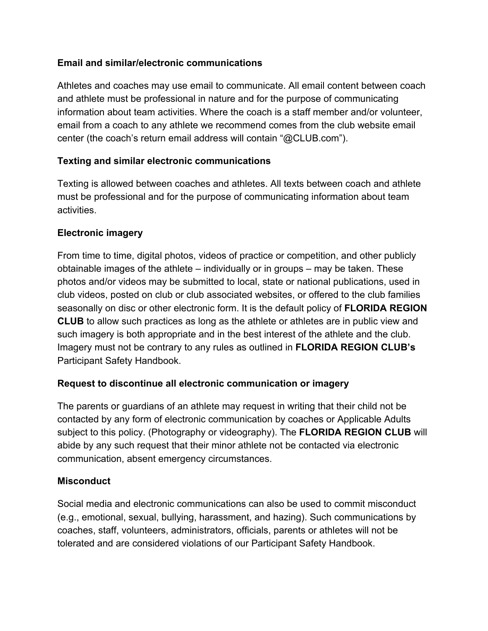#### **Email and similar/electronic communications**

Athletes and coaches may use email to communicate. All email content between coach and athlete must be professional in nature and for the purpose of communicating information about team activities. Where the coach is a staff member and/or volunteer, email from a coach to any athlete we recommend comes from the club website email center (the coach's return email address will contain "@CLUB.com").

#### **Texting and similar electronic communications**

Texting is allowed between coaches and athletes. All texts between coach and athlete must be professional and for the purpose of communicating information about team activities.

#### **Electronic imagery**

From time to time, digital photos, videos of practice or competition, and other publicly obtainable images of the athlete – individually or in groups – may be taken. These photos and/or videos may be submitted to local, state or national publications, used in club videos, posted on club or club associated websites, or offered to the club families seasonally on disc or other electronic form. It is the default policy of **FLORIDA REGION CLUB** to allow such practices as long as the athlete or athletes are in public view and such imagery is both appropriate and in the best interest of the athlete and the club. Imagery must not be contrary to any rules as outlined in **FLORIDA REGION CLUB's** Participant Safety Handbook.

#### **Request to discontinue all electronic communication or imagery**

The parents or guardians of an athlete may request in writing that their child not be contacted by any form of electronic communication by coaches or Applicable Adults subject to this policy. (Photography or videography). The **FLORIDA REGION CLUB** will abide by any such request that their minor athlete not be contacted via electronic communication, absent emergency circumstances.

#### **Misconduct**

Social media and electronic communications can also be used to commit misconduct (e.g., emotional, sexual, bullying, harassment, and hazing). Such communications by coaches, staff, volunteers, administrators, officials, parents or athletes will not be tolerated and are considered violations of our Participant Safety Handbook.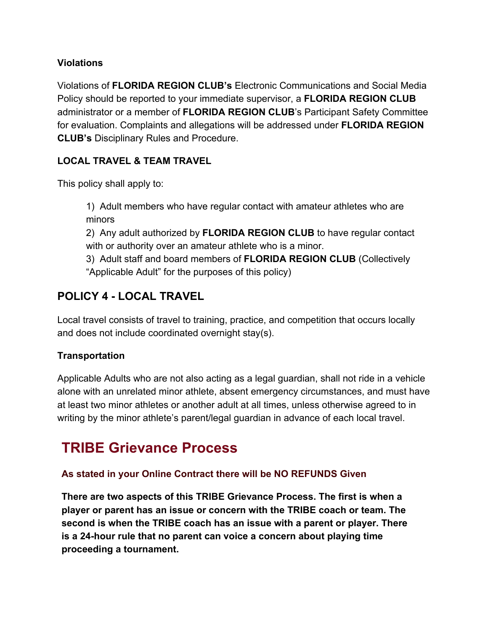#### **Violations**

Violations of **FLORIDA REGION CLUB's** Electronic Communications and Social Media Policy should be reported to your immediate supervisor, a **FLORIDA REGION CLUB** administrator or a member of **FLORIDA REGION CLUB**'s Participant Safety Committee for evaluation. Complaints and allegations will be addressed under **FLORIDA REGION CLUB's** Disciplinary Rules and Procedure.

#### **LOCAL TRAVEL & TEAM TRAVEL**

This policy shall apply to:

1) Adult members who have regular contact with amateur athletes who are minors

2) Any adult authorized by **FLORIDA REGION CLUB** to have regular contact with or authority over an amateur athlete who is a minor.

3) Adult staff and board members of **FLORIDA REGION CLUB** (Collectively "Applicable Adult" for the purposes of this policy)

# **POLICY 4 - LOCAL TRAVEL**

Local travel consists of travel to training, practice, and competition that occurs locally and does not include coordinated overnight stay(s).

## **Transportation**

Applicable Adults who are not also acting as a legal guardian, shall not ride in a vehicle alone with an unrelated minor athlete, absent emergency circumstances, and must have at least two minor athletes or another adult at all times, unless otherwise agreed to in writing by the minor athlete's parent/legal guardian in advance of each local travel.

# **TRIBE Grievance Process**

## **As stated in your Online Contract there will be NO REFUNDS Given**

**There are two aspects of this TRIBE Grievance Process. The first is when a player or parent has an issue or concern with the TRIBE coach or team. The second is when the TRIBE coach has an issue with a parent or player. There is a 24-hour rule that no parent can voice a concern about playing time proceeding a tournament.**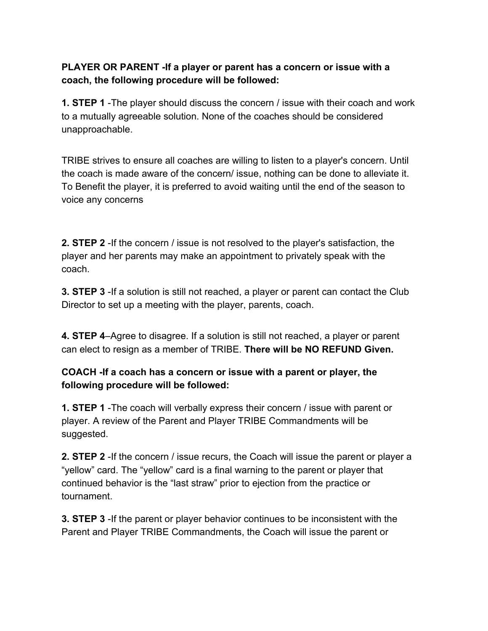#### **PLAYER OR PARENT -If a player or parent has a concern or issue with a coach, the following procedure will be followed:**

**1. STEP 1** -The player should discuss the concern / issue with their coach and work to a mutually agreeable solution. None of the coaches should be considered unapproachable.

TRIBE strives to ensure all coaches are willing to listen to a player's concern. Until the coach is made aware of the concern/ issue, nothing can be done to alleviate it. To Benefit the player, it is preferred to avoid waiting until the end of the season to voice any concerns

**2. STEP 2** -If the concern / issue is not resolved to the player's satisfaction, the player and her parents may make an appointment to privately speak with the coach.

**3. STEP 3** -If a solution is still not reached, a player or parent can contact the Club Director to set up a meeting with the player, parents, coach.

**4. STEP 4**–Agree to disagree. If a solution is still not reached, a player or parent can elect to resign as a member of TRIBE. **There will be NO REFUND Given.**

## **COACH -If a coach has a concern or issue with a parent or player, the following procedure will be followed:**

**1. STEP 1** -The coach will verbally express their concern / issue with parent or player. A review of the Parent and Player TRIBE Commandments will be suggested.

**2. STEP 2** -If the concern / issue recurs, the Coach will issue the parent or player a "yellow" card. The "yellow" card is a final warning to the parent or player that continued behavior is the "last straw" prior to ejection from the practice or tournament.

**3. STEP 3** -If the parent or player behavior continues to be inconsistent with the Parent and Player TRIBE Commandments, the Coach will issue the parent or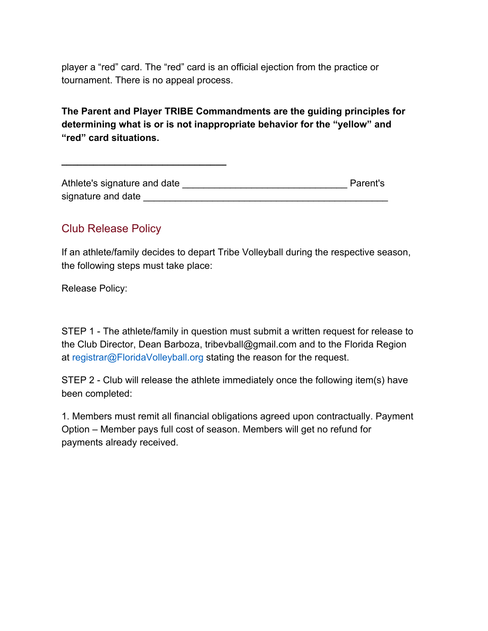player a "red" card. The "red" card is an official ejection from the practice or tournament. There is no appeal process.

# **The Parent and Player TRIBE Commandments are the guiding principles for determining what is or is not inappropriate behavior for the "yellow" and "red" card situations.**

Athlete's signature and date \_\_\_\_\_\_\_\_\_\_\_\_\_\_\_\_\_\_\_\_\_\_\_\_\_\_\_\_\_\_\_ Parent's signature and date **and the set of the set of the set of the set of the set of the set of the set of the set of the set of the set of the set of the set of the set of the set of the set of the set of the set of the set of** 

# Club Release Policy

**\_\_\_\_\_\_\_\_\_\_\_\_\_\_\_\_\_\_\_\_\_\_\_\_\_\_\_\_\_\_\_**

If an athlete/family decides to depart Tribe Volleyball during the respective season, the following steps must take place:

Release Policy:

STEP 1 - The athlete/family in question must submit a written request for release to the Club Director, Dean Barboza, tribevball@gmail.com and to the Florida Region at registrar@FloridaVolleyball.org stating the reason for the request.

STEP 2 - Club will release the athlete immediately once the following item(s) have been completed:

1. Members must remit all financial obligations agreed upon contractually. Payment Option – Member pays full cost of season. Members will get no refund for payments already received.